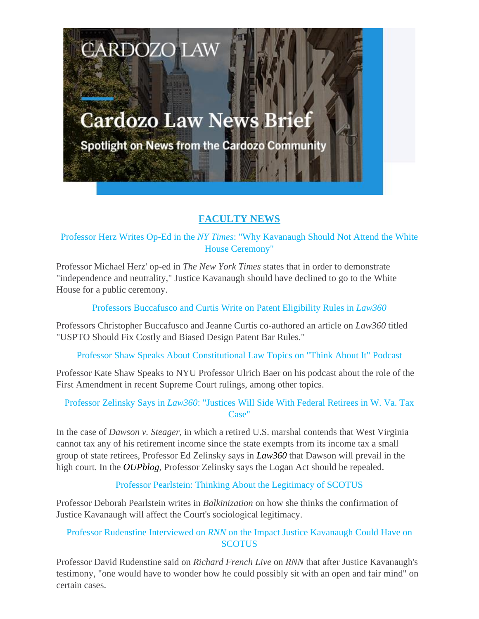# **Cardozo Law News Brief**

**CARDOZO LAW** 

Spotlight on News from the Cardozo Community

# **FACULTY NEWS**

Professor Herz Writes Op-Ed in the *NY Times*: "Why Kavanaugh Should Not Attend the White House Ceremony"

Professor Michael Herz' op-ed in *The New York Times* states that in order to demonstrate "independence and neutrality," Justice Kavanaugh should have declined to go to the White House for a public ceremony.

Professors Buccafusco and Curtis Write on Patent Eligibility Rules in *Law360*

Professors Christopher Buccafusco and Jeanne Curtis co-authored an article on *Law360* titled "USPTO Should Fix Costly and Biased Design Patent Bar Rules."

Professor Shaw Speaks About Constitutional Law Topics on "Think About It" Podcast

Professor Kate Shaw Speaks to NYU Professor Ulrich Baer on his podcast about the role of the First Amendment in recent Supreme Court rulings, among other topics.

Professor Zelinsky Says in *Law360*: "Justices Will Side With Federal Retirees in W. Va. Tax Case"

In the case of *Dawson v. Steager*, in which a retired U.S. marshal contends that West Virginia cannot tax any of his retirement income since the state exempts from its income tax a small group of state retirees, Professor Ed Zelinsky says in *Law360* that Dawson will prevail in the high court. In the *OUPblog*, Professor Zelinsky says the Logan Act should be repealed.

Professor Pearlstein: Thinking About the Legitimacy of SCOTUS

Professor Deborah Pearlstein writes in *Balkinization* on how she thinks the confirmation of Justice Kavanaugh will affect the Court's sociological legitimacy.

# Professor Rudenstine Interviewed on *RNN* on the Impact Justice Kavanaugh Could Have on **SCOTUS**

Professor David Rudenstine said on *Richard French Live* on *RNN* that after Justice Kavanaugh's testimony, "one would have to wonder how he could possibly sit with an open and fair mind" on certain cases.